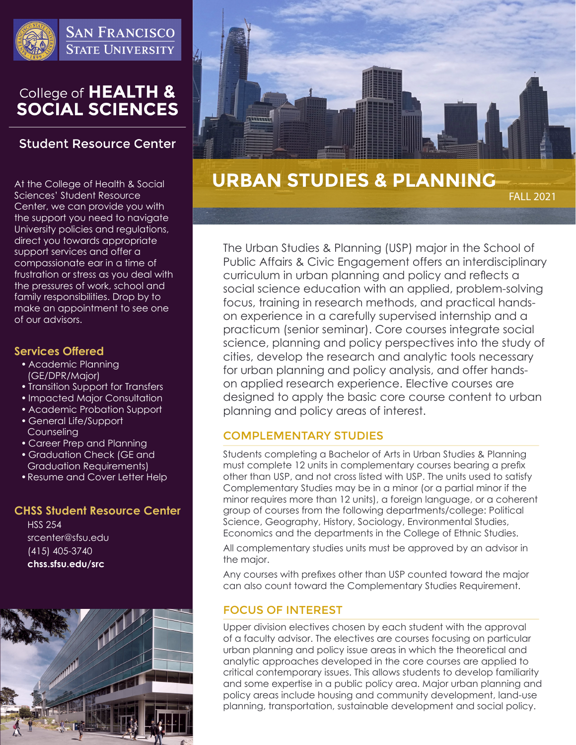

**SAN FRANCISCO STATE UNIVERSITY** 

# College of HEALTH &<br>SOCIAL SCIENCES

## **Student Resource Center**

At the College of Health & Social Sciences' Student Resource Center, we can provide you with the support you need to navigate University policies and regulations, direct you towards appropriate support services and offer a compassionate ear in a time of frustration or stress as you deal with the pressures of work, school and family responsibilities. Drop by to make an appointment to see one of our advisors.

#### **Services Offered**

- Academic Planning (GE/DPR/Major)
- Transition Support for Transfers
- Impacted Major Consultation
- Academic Probation Support
- General Life/Support Counseling
- Career Prep and Planning
- Graduation Check (GE and Graduation Requirements)
- •Resume and Cover Letter Help

#### **CHSS Student Resource Center**

HSS 254 srcenter@sfsu.edu (415) 405-3740 **chss.sfsu.edu/src**





# **URBAN STUDIES & PLANNING**

FALL 2021

The Urban Studies & Planning (USP) major in the School of Public Affairs & Civic Engagement offers an interdisciplinary curriculum in urban planning and policy and reflects a social science education with an applied, problem-solving focus, training in research methods, and practical handson experience in a carefully supervised internship and a practicum (senior seminar). Core courses integrate social science, planning and policy perspectives into the study of cities, develop the research and analytic tools necessary for urban planning and policy analysis, and offer handson applied research experience. Elective courses are designed to apply the basic core course content to urban planning and policy areas of interest.

#### COMPLEMENTARY STUDIES

Students completing a Bachelor of Arts in Urban Studies & Planning must complete 12 units in complementary courses bearing a prefix other than USP, and not cross listed with USP. The units used to satisfy Complementary Studies may be in a minor (or a partial minor if the minor requires more than 12 units), a foreign language, or a coherent group of courses from the following departments/college: Political Science, Geography, History, Sociology, Environmental Studies, Economics and the departments in the College of Ethnic Studies.

All complementary studies units must be approved by an advisor in the major.

Any courses with prefixes other than USP counted toward the major can also count toward the Complementary Studies Requirement.

#### FOCUS OF INTEREST

Upper division electives chosen by each student with the approval of a faculty advisor. The electives are courses focusing on particular urban planning and policy issue areas in which the theoretical and analytic approaches developed in the core courses are applied to critical contemporary issues. This allows students to develop familiarity and some expertise in a public policy area. Major urban planning and policy areas include housing and community development, land-use planning, transportation, sustainable development and social policy.